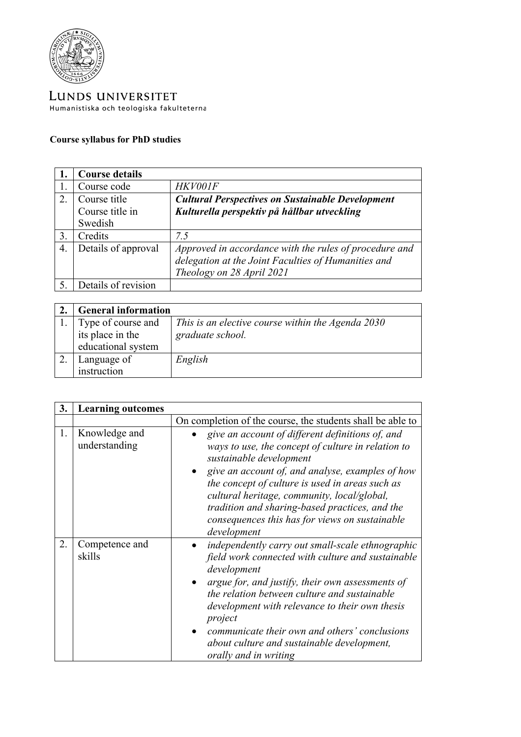

LUNDS UNIVERSITET Humanistiska och teologiska fakulteterna

## **Course syllabus for PhD studies**

|    | <b>Course details</b> |                                                         |
|----|-----------------------|---------------------------------------------------------|
|    | Course code           | <b>HKV001F</b>                                          |
| 2. | Course title          | <b>Cultural Perspectives on Sustainable Development</b> |
|    | Course title in       | Kulturella perspektiv på hållbar utveckling             |
|    | Swedish               |                                                         |
| 3. | Credits               | 7.5                                                     |
| 4. | Details of approval   | Approved in accordance with the rules of procedure and  |
|    |                       | delegation at the Joint Faculties of Humanities and     |
|    |                       | Theology on 28 April 2021                               |
|    | Details of revision   |                                                         |

| <b>General information</b>             |                                                                       |
|----------------------------------------|-----------------------------------------------------------------------|
| Type of course and<br>its place in the | This is an elective course within the Agenda 2030<br>graduate school. |
| educational system                     |                                                                       |
| Language of                            | English                                                               |
| instruction                            |                                                                       |

| 3. | <b>Learning outcomes</b>       |                                                                                                                                                                                                                                                                                                                                                                                                               |
|----|--------------------------------|---------------------------------------------------------------------------------------------------------------------------------------------------------------------------------------------------------------------------------------------------------------------------------------------------------------------------------------------------------------------------------------------------------------|
|    |                                | On completion of the course, the students shall be able to                                                                                                                                                                                                                                                                                                                                                    |
| 1. | Knowledge and<br>understanding | give an account of different definitions of, and<br>ways to use, the concept of culture in relation to<br>sustainable development<br>give an account of, and analyse, examples of how<br>the concept of culture is used in areas such as<br>cultural heritage, community, local/global,<br>tradition and sharing-based practices, and the<br>consequences this has for views on sustainable<br>development    |
| 2. | Competence and<br>skills       | independently carry out small-scale ethnographic<br>field work connected with culture and sustainable<br>development<br>argue for, and justify, their own assessments of<br>the relation between culture and sustainable<br>development with relevance to their own thesis<br>project<br>communicate their own and others' conclusions<br>about culture and sustainable development,<br>orally and in writing |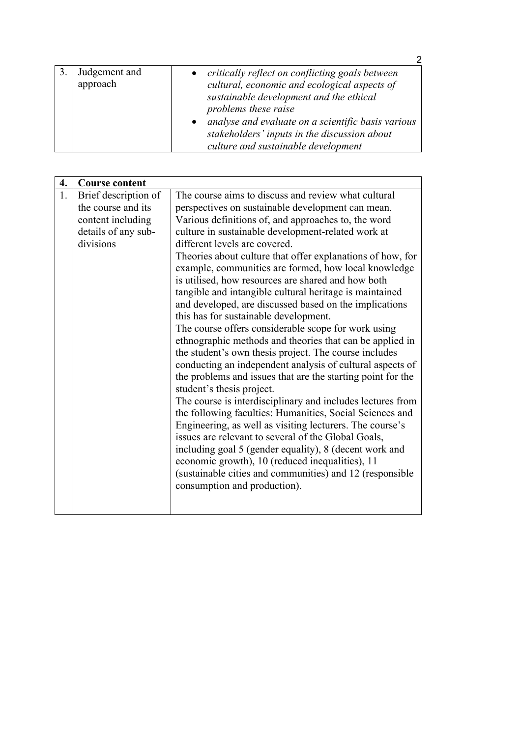| Judgement and<br>approach | critically reflect on conflicting goals between<br>cultural, economic and ecological aspects of<br>sustainable development and the ethical<br>problems these raise<br>analyse and evaluate on a scientific basis various<br>stakeholders' inputs in the discussion about<br>culture and sustainable development |
|---------------------------|-----------------------------------------------------------------------------------------------------------------------------------------------------------------------------------------------------------------------------------------------------------------------------------------------------------------|

| 4. | <b>Course content</b> |                                                                                                                        |
|----|-----------------------|------------------------------------------------------------------------------------------------------------------------|
| 1. | Brief description of  | The course aims to discuss and review what cultural                                                                    |
|    | the course and its    | perspectives on sustainable development can mean.                                                                      |
|    | content including     | Various definitions of, and approaches to, the word                                                                    |
|    | details of any sub-   | culture in sustainable development-related work at                                                                     |
|    | divisions             | different levels are covered.                                                                                          |
|    |                       | Theories about culture that offer explanations of how, for                                                             |
|    |                       | example, communities are formed, how local knowledge                                                                   |
|    |                       | is utilised, how resources are shared and how both                                                                     |
|    |                       | tangible and intangible cultural heritage is maintained                                                                |
|    |                       | and developed, are discussed based on the implications                                                                 |
|    |                       | this has for sustainable development.                                                                                  |
|    |                       | The course offers considerable scope for work using                                                                    |
|    |                       | ethnographic methods and theories that can be applied in                                                               |
|    |                       | the student's own thesis project. The course includes                                                                  |
|    |                       | conducting an independent analysis of cultural aspects of                                                              |
|    |                       | the problems and issues that are the starting point for the                                                            |
|    |                       | student's thesis project.                                                                                              |
|    |                       | The course is interdisciplinary and includes lectures from<br>the following faculties: Humanities, Social Sciences and |
|    |                       | Engineering, as well as visiting lecturers. The course's                                                               |
|    |                       | issues are relevant to several of the Global Goals,                                                                    |
|    |                       | including goal 5 (gender equality), 8 (decent work and                                                                 |
|    |                       | economic growth), 10 (reduced inequalities), 11                                                                        |
|    |                       | (sustainable cities and communities) and 12 (responsible                                                               |
|    |                       | consumption and production).                                                                                           |
|    |                       |                                                                                                                        |
|    |                       |                                                                                                                        |